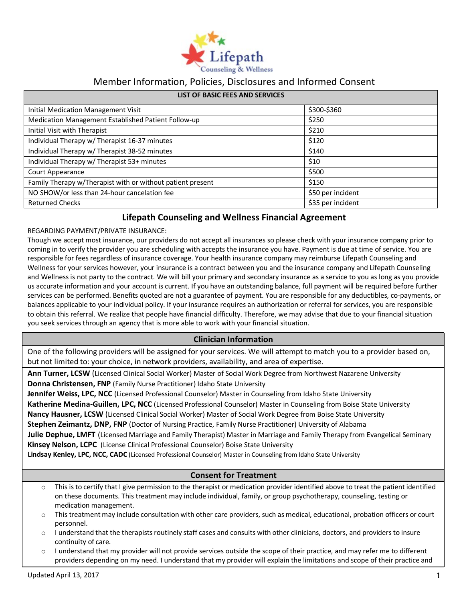

# Member Information, Policies, Disclosures and Informed Consent

| <b>LIST OF BASIC FEES AND SERVICES</b>                     |                   |
|------------------------------------------------------------|-------------------|
| Initial Medication Management Visit                        | \$300-\$360       |
| Medication Management Established Patient Follow-up        | \$250             |
| Initial Visit with Therapist                               | \$210             |
| Individual Therapy w/ Therapist 16-37 minutes              | \$120             |
| Individual Therapy w/ Therapist 38-52 minutes              | \$140             |
| Individual Therapy w/ Therapist 53+ minutes                | \$10              |
| Court Appearance                                           | \$500             |
| Family Therapy w/Therapist with or without patient present | \$150             |
| NO SHOW/or less than 24-hour cancelation fee               | \$50 per incident |
| <b>Returned Checks</b>                                     | \$35 per incident |

# **Lifepath Counseling and Wellness Financial Agreement**

### REGARDING PAYMENT/PRIVATE INSURANCE:

Though we accept most insurance, our providers do not accept all insurances so please check with your insurance company prior to coming in to verify the provider you are scheduling with accepts the insurance you have. Payment is due at time of service. You are responsible for fees regardless of insurance coverage. Your health insurance company may reimburse Lifepath Counseling and Wellness for your services however, your insurance is a contract between you and the insurance company and Lifepath Counseling and Wellness is not party to the contract. We will bill your primary and secondary insurance as a service to you as long as you provide us accurate information and your account is current. If you have an outstanding balance, full payment will be required before further services can be performed. Benefits quoted are not a guarantee of payment. You are responsible for any deductibles, co-payments, or balances applicable to your individual policy. If your insurance requires an authorization or referral for services, you are responsible to obtain this referral. We realize that people have financial difficulty. Therefore, we may advise that due to your financial situation you seek services through an agency that is more able to work with your financial situation.

## **Clinician Information**

One of the following providers will be assigned for your services. We will attempt to match you to a provider based on, but not limited to: your choice, in network providers, availability, and area of expertise.

**Ann Turner, LCSW** (Licensed Clinical Social Worker) Master of Social Work Degree from Northwest Nazarene University **Donna Christensen, FNP** (Family Nurse Practitioner) Idaho State University

**Jennifer Weiss, LPC, NCC** (Licensed Professional Counselor) Master in Counseling from Idaho State University **Katherine Medina-Guillen, LPC, NCC** (Licensed Professional Counselor) Master in Counseling from Boise State University **Nancy Hausner, LCSW** (Licensed Clinical Social Worker) Master of Social Work Degree from Boise State University **Stephen Zeimantz, DNP, FNP** (Doctor of Nursing Practice, Family Nurse Practitioner) University of Alabama  **Julie Dephue, LMFT** (Licensed Marriage and Family Therapist) Master in Marriage and Family Therapy from Evangelical Seminary **Kinsey Nelson, LCPC** (License Clinical Professional Counselor) Boise State University

 **Lindsay Kenley, LPC, NCC, CADC** (Licensed Professional Counselor) Master in Counseling from Idaho State University

## **Consent for Treatment**

- $\circ$  This is to certify that I give permission to the therapist or medication provider identified above to treat the patient identified on these documents. This treatment may include individual, family, or group psychotherapy, counseling, testing or medication management.
- $\circ$  This treatment may include consultation with other care providers, such as medical, educational, probation officers or court personnel.
- $\circ$  I understand that the therapists routinely staff cases and consults with other clinicians, doctors, and providers to insure continuity of care.
- o I understand that my provider will not provide services outside the scope of their practice, and may refer me to different providers depending on my need. I understand that my provider will explain the limitations and scope of their practice and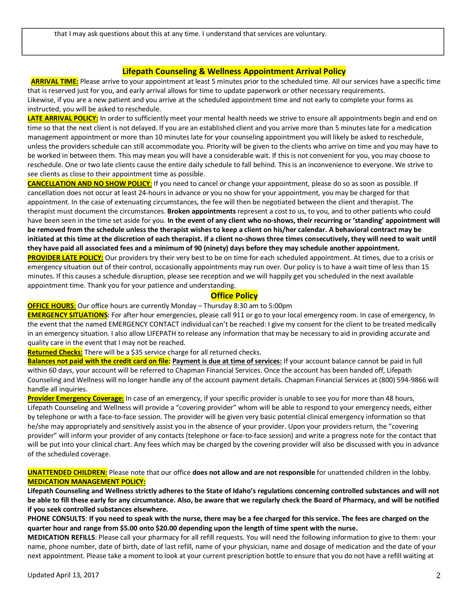### **Lifepath Counseling & Wellness Appointment Arrival Policy**

**ARRIVAL TIME:** Please arrive to your appointment at least 5 minutes prior to the scheduled time. All our services have a specific time that is reserved just for you, and early arrival allows for time to update paperwork or other necessary requirements. Likewise, if you are a new patient and you arrive at the scheduled appointment time and not early to complete your forms as instructed, you will be asked to reschedule.

LATE ARRIVAL POLICY: In order to sufficiently meet your mental health needs we strive to ensure all appointments begin and end on time so that the next client is not delayed. If you are an established client and you arrive more than 5 minutes late for a medication management appointment or more than 10 minutes late for your counseling appointment you will likely be asked to reschedule, unless the providers schedule can still accommodate you. Priority will be given to the clients who arrive on time and you may have to be worked in between them. This may mean you will have a considerable wait. If this is not convenient for you, you may choose to reschedule. One or two late clients cause the entire daily schedule to fall behind. This is an inconvenience to everyone. We strive to see clients as close to their appointment time as possible.

**CANCELLATION AND NO SHOW POLICY**: If you need to cancel or change your appointment, please do so as soon as possible. If cancellation does not occur at least 24-hours in advance or you no show for your appointment, you may be charged for that appointment. In the case of extenuating circumstances, the fee will then be negotiated between the client and therapist. The therapist must document the circumstances. **Broken appointments** represent a cost to us, to you, and to other patients who could have been seen in the time set aside for you. **In the event of any client who no-shows, their recurring or 'standing' appointment will be removed from the schedule unless the therapist wishes to keep a client on his/her calendar. A behavioral contract may be initiated at this time at the discretion of each therapist. If a client no-shows three times consecutively, they will need to wait until they have paid all associated fees and a minimum of 90 (ninety) days before they may schedule another appointment. PROVIDER LATE POLICY:** Our providers try their very best to be on time for each scheduled appointment. At times, due to a crisis or emergency situation out of their control, occasionally appointments may run over. Our policy is to have a wait time of less than 15 minutes. If this causes a schedule disruption, please see reception and we will happily get you scheduled in the next available appointment time. Thank you for your patience and understanding.

### **Office Policy**

#### **OFFICE HOURS**: Our office hours are currently Monday – Thursday 8:30 am to 5:00pm

**EMERGENCY SITUATIONS:** For after hour emergencies, please call 911 or go to your local emergency room. In case of emergency, In the event that the named EMERGENCY CONTACT individual can't be reached: I give my consent for the client to be treated medically in an emergency situation. I also allow LIFEPATH to release any information that may be necessary to aid in providing accurate and quality care in the event that I may not be reached.

**Returned Checks:** There will be a \$35 service charge for all returned checks.

**Balances not paid with the credit card on file***:* **Payment is due at time of services:** If your account balance cannot be paid in full within 60 days, your account will be referred to Chapman Financial Services. Once the account has been handed off, Lifepath Counseling and Wellness will no longer handle any of the account payment details. Chapman Financial Services at (800) 594-9866 will handle all inquiries.

**Provider Emergency Coverage:** In case of an emergency, if your specific provider is unable to see you for more than 48 hours, Lifepath Counseling and Wellness will provide a "covering provider" whom will be able to respond to your emergency needs, either by telephone or with a face-to-face session. The provider will be given very basic potential clinical emergency information so that he/she may appropriately and sensitively assist you in the absence of your provider. Upon your providers return, the "covering provider" will inform your provider of any contacts (telephone or face-to-face session) and write a progress note for the contact that will be put into your clinical chart. Any fees which may be charged by the covering provider will also be discussed with you in advance of the scheduled coverage.

**UNATTENDED CHILDREN:** Please note that our office **does not allow and are not responsible** for unattended children in the lobby. **MEDICATION MANAGEMENT POLICY:**

**Lifepath Counseling and Wellness strictly adheres to the State of Idaho's regulations concerning controlled substances and will not be able to fill these early for any circumstance. Also, be aware that we regularly check the Board of Pharmacy, and will be notified if you seek controlled substances elsewhere.**

**PHONE CONSULTS**: **If you need to speak with the nurse, there may be a fee charged for this service. The fees are charged on the quarter hour and range from \$5.00 onto \$20.00 depending upon the length of time spent with the nurse.**

**MEDICATION REFILLS**: Please call your pharmacy for all refill requests. You will need the following information to give to them: your name, phone number, date of birth, date of last refill, name of your physician, name and dosage of medication and the date of your next appointment. Please take a moment to look at your current prescription bottle to ensure that you do not have a refill waiting at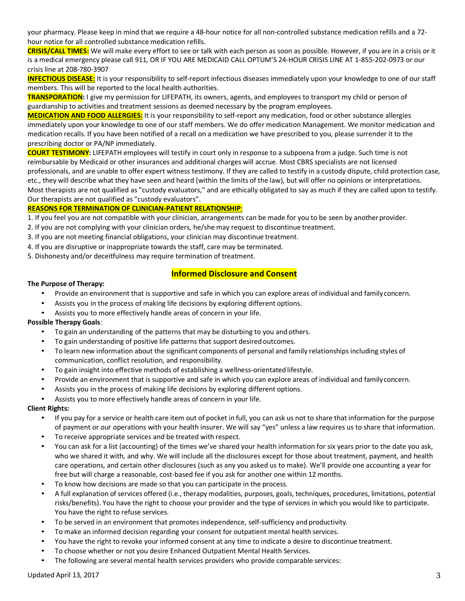your pharmacy. Please keep in mind that we require a 48-hour notice for all non-controlled substance medication refills and a 72 hour notice for all controlled substance medication refills.

**CRISIS/CALL TIMES:** We will make every effort to see or talk with each person as soon as possible. However, if you are in a crisis or it is a medical emergency please call 911, OR IF YOU ARE MEDICAID CALL OPTUM'S 24-HOUR CRISIS LINE AT 1-855-202-0973 or our crisis line at 208-780-3907

**INFECTIOUS DISEASE:** It is your responsibility to self-report infectious diseases immediately upon your knowledge to one of our staff members. This will be reported to the local health authorities.

**TRANSPORATION:** I give my permission for LIFEPATH, its owners, agents, and employees to transport my child or person of guardianship to activities and treatment sessions as deemed necessary by the program employees.

**MEDICATION AND FOOD ALLERGIES:** It is your responsibility to self-report any medication, food or other substance allergies immediately upon your knowledge to one of our staff members. We do offer medication Management. We monitor medication and medication recalls. If you have been notified of a recall on a medication we have prescribed to you, please surrender it to the prescribing doctor or PA/NP immediately.

**COURT TESTIMONY:** LIFEPATH employees will testify in court only in response to a subpoena from a judge. Such time is not reimbursable by Medicaid or other insurances and additional charges will accrue. Most CBRS specialists are not licensed professionals, and are unable to offer expert witness testimony. If they are called to testify in a custody dispute, child protection case, etc., they will describe what they have seen and heard (within the limits of the law), but will offer no opinions or interpretations. Most therapists are not qualified as "custody evaluators," and are ethically obligated to say as much if they are called upon to testify. Our therapists are not qualified as "custody evaluators".

### **REASONS FOR TERMINATION OF CLINICIAN-PATIENT RELATIONSHIP**:

- 1. If you feel you are not compatible with your clinician, arrangements can be made for you to be seen by another provider.
- 2. If you are not complying with your clinician orders, he/she may request to discontinue treatment.
- 3. If you are not meeting financial obligations, your clinician may discontinue treatment.
- 4. If you are disruptive or inappropriate towards the staff, care may be terminated.
- 5. Dishonesty and/or deceitfulness may require termination of treatment.

### **Informed Disclosure and Consent**

#### **The Purpose of Therapy:**

- Provide an environment that is supportive and safe in which you can explore areas of individual and familyconcern.
- Assists you in the process of making life decisions by exploring different options.
- Assists you to more effectively handle areas of concern in your life.

#### **Possible Therapy Goals**:

- To gain an understanding of the patterns that may be disturbing to you and others.
- To gain understanding of positive life patterns that support desired outcomes.
- To learn new information about the significant components of personal and family relationships including styles of communication, conflict resolution, and responsibility.
- To gain insight into effective methods of establishing a wellness-orientated lifestyle.
- Provide an environment that is supportive and safe in which you can explore areas of individual and familyconcern.
- Assists you in the process of making life decisions by exploring different options.
- Assists you to more effectively handle areas of concern in your life.

#### **Client Rights:**

- If you pay for a service or health care item out of pocket in full, you can ask us not to share that information for the purpose of payment or our operations with your health insurer. We will say "yes" unless a law requires us to share that information.
- To receive appropriate services and be treated with respect.
- You can ask for a list (accounting) of the times we've shared your health information for six years prior to the date you ask, who we shared it with, and why. We will include all the disclosures except for those about treatment, payment, and health care operations, and certain other disclosures (such as any you asked us to make). We'll provide one accounting a year for free but will charge a reasonable, cost-based fee if you ask for another one within 12 months.
- To know how decisions are made so that you can participate in the process.
- A full explanation of services offered (i.e., therapy modalities, purposes, goals, techniques, procedures, limitations, potential risks/benefits). You have the right to choose your provider and the type of services in which you would like to participate. You have the right to refuse services.
- To be served in an environment that promotes independence, self-sufficiency and productivity.
- To make an informed decision regarding your consent for outpatient mental health services.
- You have the right to revoke your informed consent at any time to indicate a desire to discontinue treatment.
- To choose whether or not you desire Enhanced Outpatient Mental Health Services.
- The following are several mental health services providers who provide comparable services: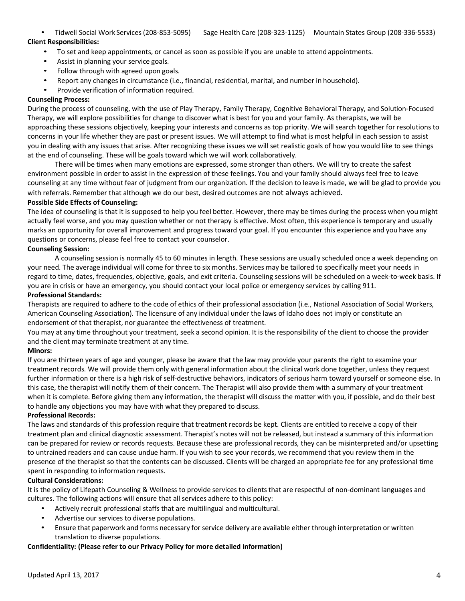### • Tidwell Social Work Services(208-853-5095) Sage Health Care (208-323-1125) Mountain States Group (208-336-5533) **Client Responsibilities:**

- To set and keep appointments, or cancel as soon as possible if you are unable to attend appointments.
- Assist in planning your service goals.
- Follow through with agreed upon goals.
- Report any changes in circumstance (i.e., financial, residential, marital, and number in household).
- Provide verification of information required.

#### **Counseling Process:**

During the process of counseling, with the use of Play Therapy, Family Therapy, Cognitive Behavioral Therapy, and Solution-Focused Therapy, we will explore possibilities for change to discover what is best for you and your family. As therapists, we will be approaching these sessions objectively, keeping your interests and concerns as top priority. We will search together for resolutions to concerns in your life whether they are past or present issues. We will attempt to find what is most helpful in each session to assist you in dealing with any issues that arise. After recognizing these issues we will set realistic goals of how you would like to see things at the end of counseling. These will be goals toward which we will work collaboratively.

There will be times when many emotions are expressed, some stronger than others. We will try to create the safest environment possible in order to assist in the expression of these feelings. You and your family should always feel free to leave counseling at any time without fear of judgment from our organization. If the decision to leave is made, we will be glad to provide you with referrals. Remember that although we do our best, desired outcomes are not always achieved.

#### **Possible Side Effects of Counseling:**

The idea of counseling is that it is supposed to help you feel better. However, there may be times during the process when you might actually feel worse, and you may question whether or not therapy is effective. Most often, this experience is temporary and usually marks an opportunity for overall improvement and progress toward your goal. If you encounter this experience and you have any questions or concerns, please feel free to contact your counselor.

### **Counseling Session:**

A counseling session is normally 45 to 60 minutes in length. These sessions are usually scheduled once a week depending on your need. The average individual will come for three to six months. Services may be tailored to specifically meet your needs in regard to time, dates, frequencies, objective, goals, and exit criteria. Counseling sessions will be scheduled on a week-to-week basis. If you are in crisis or have an emergency, you should contact your local police or emergency services by calling 911.

#### **Professional Standards:**

Therapists are required to adhere to the code of ethics of their professional association (i.e., National Association of Social Workers, American Counseling Association). The licensure of any individual under the laws of Idaho does not imply or constitute an endorsement of that therapist, nor guarantee the effectiveness of treatment.

You may at any time throughout your treatment, seek a second opinion. It is the responsibility of the client to choose the provider and the client may terminate treatment at any time.

#### **Minors:**

If you are thirteen years of age and younger, please be aware that the law may provide your parents the right to examine your treatment records. We will provide them only with general information about the clinical work done together, unless they request further information or there is a high risk of self-destructive behaviors, indicators of serious harm toward yourself or someone else. In this case, the therapist will notify them of their concern. The Therapist will also provide them with a summary of your treatment when it is complete. Before giving them any information, the therapist will discuss the matter with you, if possible, and do their best to handle any objections you may have with what they prepared to discuss.

#### **Professional Records:**

The laws and standards of this profession require that treatment records be kept. Clients are entitled to receive a copy of their treatment plan and clinical diagnostic assessment. Therapist's notes will not be released, but instead a summary of this information can be prepared for review or records requests. Because these are professional records, they can be misinterpreted and/or upsetting to untrained readers and can cause undue harm. If you wish to see your records, we recommend that you review them in the presence of the therapist so that the contents can be discussed. Clients will be charged an appropriate fee for any professional time spent in responding to information requests.

#### **Cultural Considerations:**

It is the policy of Lifepath Counseling & Wellness to provide services to clients that are respectful of non-dominant languages and cultures. The following actions will ensure that all services adhere to this policy:

- Actively recruit professional staffs that are multilingual and multicultural.
- Advertise our services to diverse populations.
- Ensure that paperwork and forms necessary for service delivery are available either through interpretation or written translation to diverse populations.

#### **Confidentiality: (Please refer to our Privacy Policy for more detailed information)**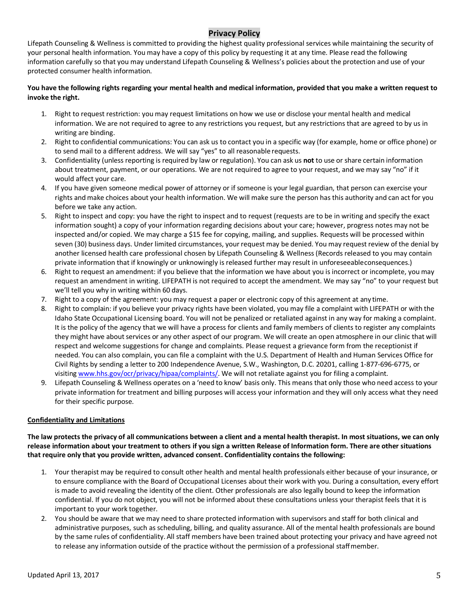# **Privacy Policy**

Lifepath Counseling & Wellness is committed to providing the highest quality professional services while maintaining the security of your personal health information. You may have a copy of this policy by requesting it at any time. Please read the following information carefully so that you may understand Lifepath Counseling & Wellness's policies about the protection and use of your protected consumer health information.

### **You have the following rights regarding your mental health and medical information, provided that you make a written request to invoke the right.**

- 1. Right to request restriction: you may request limitations on how we use or disclose your mental health and medical information. We are not required to agree to any restrictions you request, but any restrictions that are agreed to by us in writing are binding.
- 2. Right to confidential communications: You can ask us to contact you in a specific way (for example, home or office phone) or to send mail to a different address. We will say "yes" to all reasonable requests.
- 3. Confidentiality (unless reporting is required by law or regulation). You can ask us **not** to use or share certain information about treatment, payment, or our operations. We are not required to agree to your request, and we may say "no" if it would affect your care.
- 4. If you have given someone medical power of attorney or if someone is your legal guardian, that person can exercise your rights and make choices about your health information. We will make sure the person has this authority and can act for you before we take any action.
- 5. Right to inspect and copy: you have the right to inspect and to request (requests are to be in writing and specify the exact information sought) a copy of your information regarding decisions about your care; however, progress notes may not be inspected and/or copied. We may charge a \$15 fee for copying, mailing, and supplies. Requests will be processed within seven (30) business days. Under limited circumstances, your request may be denied. You may request review of the denial by another licensed health care professional chosen by Lifepath Counseling & Wellness (Records released to you may contain private information that if knowingly or unknowingly is released further may result in unforeseeableconsequences.)
- 6. Right to request an amendment: if you believe that the information we have about you is incorrect or incomplete, you may request an amendment in writing. LIFEPATH is not required to accept the amendment. We may say "no" to your request but we'll tell you why in writing within 60 days.
- Right to a copy of the agreement: you may request a paper or electronic copy of this agreement at any time.
- 8. Right to complain: if you believe your privacy rights have been violated, you may file a complaint with LIFEPATH or with the Idaho State Occupational Licensing board. You will not be penalized or retaliated against in any way for making a complaint. It is the policy of the agency that we will have a process for clients and family members of clients to register any complaints they might have about services or any other aspect of our program. We will create an open atmosphere in our clinic that will respect and welcome suggestions for change and complaints. Please request a grievance form from the receptionist if needed. You can also complain, you can file a complaint with the U.S. Department of Health and Human Services Office for Civil Rights by sending a letter to 200 Independence Avenue, S.W., Washington, D.C. 20201, calling 1-877-696-6775, or visiting www.hhs.gov/ocr/privacy/hipaa/complaints/. We will not retaliate against you for filing a complaint.
- 9. Lifepath Counseling & Wellness operates on a 'need to know' basis only. This means that only those who need access to your private information for treatment and billing purposes will access your information and they will only access what they need for their specific purpose.

### **Confidentiality and Limitations**

**The law protects the privacy of all communications between a client and a mental health therapist. In most situations, we can only release information about your treatment to others if you sign a written Release of Information form. There are other situations that require only that you provide written, advanced consent. Confidentiality contains the following:**

- 1. Your therapist may be required to consult other health and mental health professionals either because of your insurance, or to ensure compliance with the Board of Occupational Licenses about their work with you. During a consultation, every effort is made to avoid revealing the identity of the client. Other professionals are also legally bound to keep the information confidential. If you do not object, you will not be informed about these consultations unless your therapist feels that it is important to your work together.
- 2. You should be aware that we may need to share protected information with supervisors and staff for both clinical and administrative purposes, such as scheduling, billing, and quality assurance. All of the mental health professionals are bound by the same rules of confidentiality. All staff members have been trained about protecting your privacy and have agreed not to release any information outside of the practice without the permission of a professional staffmember.